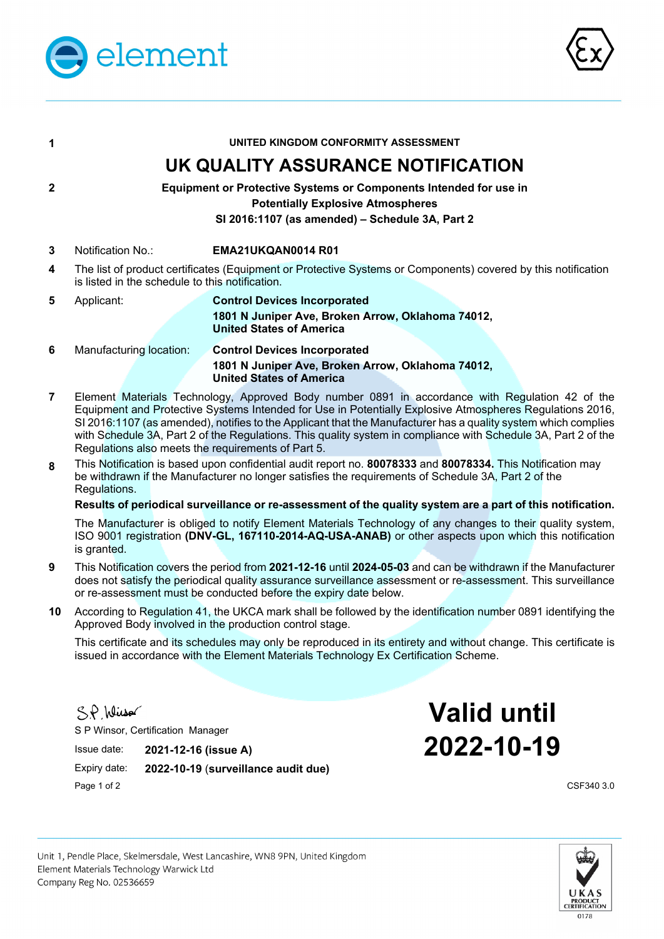



| 1                                                                                                                                                                            |                                                                                                                                                                  | UNITED KINGDOM CONFORMITY ASSESSMENT                                                                                        |  |  |  |
|------------------------------------------------------------------------------------------------------------------------------------------------------------------------------|------------------------------------------------------------------------------------------------------------------------------------------------------------------|-----------------------------------------------------------------------------------------------------------------------------|--|--|--|
|                                                                                                                                                                              |                                                                                                                                                                  | UK QUALITY ASSURANCE NOTIFICATION                                                                                           |  |  |  |
| 2<br><b>Equipment or Protective Systems or Components Intended for use in</b><br><b>Potentially Explosive Atmospheres</b><br>SI 2016:1107 (as amended) - Schedule 3A, Part 2 |                                                                                                                                                                  |                                                                                                                             |  |  |  |
| 3                                                                                                                                                                            | Notification No.:                                                                                                                                                | EMA21UKQAN0014 R01                                                                                                          |  |  |  |
| 4                                                                                                                                                                            | The list of product certificates (Equipment or Protective Systems or Components) covered by this notification<br>is listed in the schedule to this notification. |                                                                                                                             |  |  |  |
| 5                                                                                                                                                                            | Applicant:                                                                                                                                                       | <b>Control Devices Incorporated</b><br>1801 N Juniper Ave, Broken Arrow, Oklahoma 74012,<br><b>United States of America</b> |  |  |  |
| 6                                                                                                                                                                            | Manufacturing location:                                                                                                                                          | <b>Control Devices Incorporated</b><br>1801 N Juniper Ave, Broken Arrow, Oklahoma 74012,<br><b>United States of America</b> |  |  |  |
|                                                                                                                                                                              |                                                                                                                                                                  |                                                                                                                             |  |  |  |

- **7** Element Materials Technology, Approved Body number 0891 in accordance with Regulation 42 of the Equipment and Protective Systems Intended for Use in Potentially Explosive Atmospheres Regulations 2016, SI 2016:1107 (as amended), notifies to the Applicant that the Manufacturer has a quality system which complies with Schedule 3A, Part 2 of the Regulations. This quality system in compliance with Schedule 3A, Part 2 of the Regulations also meets the requirements of Part 5.
- **8** This Notification is based upon confidential audit report no. **80078333** and **80078334.** This Notification may be withdrawn if the Manufacturer no longer satisfies the requirements of Schedule 3A, Part 2 of the Regulations.

# **Results of periodical surveillance or re-assessment of the quality system are a part of this notification.**

The Manufacturer is obliged to notify Element Materials Technology of any changes to their quality system, ISO 9001 registration **(DNV-GL, 167110-2014-AQ-USA-ANAB)** or other aspects upon which this notification is granted.

- **9** This Notification covers the period from **2021-12-16** until **2024-05-03** and can be withdrawn if the Manufacturer does not satisfy the periodical quality assurance surveillance assessment or re-assessment. This surveillance or re-assessment must be conducted before the expiry date below.
- **10** According to Regulation 41, the UKCA mark shall be followed by the identification number 0891 identifying the Approved Body involved in the production control stage.

This certificate and its schedules may only be reproduced in its entirety and without change. This certificate is issued in accordance with the Element Materials Technology Ex Certification Scheme.

S.P. Wirsor

S P Winsor, Certification Manager

 Expiry date: **2022-10-19** (**surveillance audit due)**  Page 1 of 2 CSF340 3.0

**Valid until**  Issue date: **2021-12-16 (issue A) 2022-10-19**